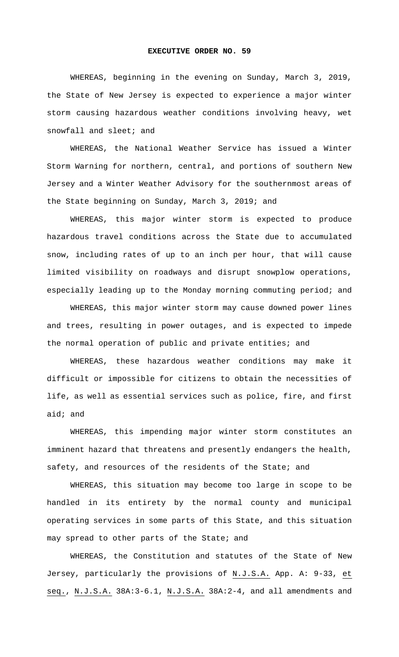## **EXECUTIVE ORDER NO. 59**

WHEREAS, beginning in the evening on Sunday, March 3, 2019, the State of New Jersey is expected to experience a major winter storm causing hazardous weather conditions involving heavy, wet snowfall and sleet; and

WHEREAS, the National Weather Service has issued a Winter Storm Warning for northern, central, and portions of southern New Jersey and a Winter Weather Advisory for the southernmost areas of the State beginning on Sunday, March 3, 2019; and

WHEREAS, this major winter storm is expected to produce hazardous travel conditions across the State due to accumulated snow, including rates of up to an inch per hour, that will cause limited visibility on roadways and disrupt snowplow operations, especially leading up to the Monday morning commuting period; and

WHEREAS, this major winter storm may cause downed power lines and trees, resulting in power outages, and is expected to impede the normal operation of public and private entities; and

WHEREAS, these hazardous weather conditions may make it difficult or impossible for citizens to obtain the necessities of life, as well as essential services such as police, fire, and first aid; and

WHEREAS, this impending major winter storm constitutes an imminent hazard that threatens and presently endangers the health, safety, and resources of the residents of the State; and

WHEREAS, this situation may become too large in scope to be handled in its entirety by the normal county and municipal operating services in some parts of this State, and this situation may spread to other parts of the State; and

WHEREAS, the Constitution and statutes of the State of New Jersey, particularly the provisions of N.J.S.A. App. A: 9-33, et seq., N.J.S.A. 38A:3-6.1, N.J.S.A. 38A:2-4, and all amendments and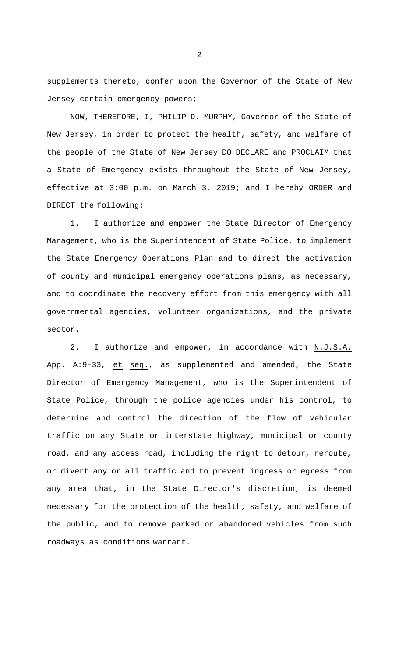supplements thereto, confer upon the Governor of the State of New Jersey certain emergency powers;

NOW, THEREFORE, I, PHILIP D. MURPHY, Governor of the State of New Jersey, in order to protect the health, safety, and welfare of the people of the State of New Jersey DO DECLARE and PROCLAIM that a State of Emergency exists throughout the State of New Jersey, effective at 3:00 p.m. on March 3, 2019; and I hereby ORDER and DIRECT the following:

1. I authorize and empower the State Director of Emergency Management, who is the Superintendent of State Police, to implement the State Emergency Operations Plan and to direct the activation of county and municipal emergency operations plans, as necessary, and to coordinate the recovery effort from this emergency with all governmental agencies, volunteer organizations, and the private sector.

2. I authorize and empower, in accordance with N.J.S.A. App. A:9-33, et seq., as supplemented and amended, the State Director of Emergency Management, who is the Superintendent of State Police, through the police agencies under his control, to determine and control the direction of the flow of vehicular traffic on any State or interstate highway, municipal or county road, and any access road, including the right to detour, reroute, or divert any or all traffic and to prevent ingress or egress from any area that, in the State Director's discretion, is deemed necessary for the protection of the health, safety, and welfare of the public, and to remove parked or abandoned vehicles from such roadways as conditions warrant.

2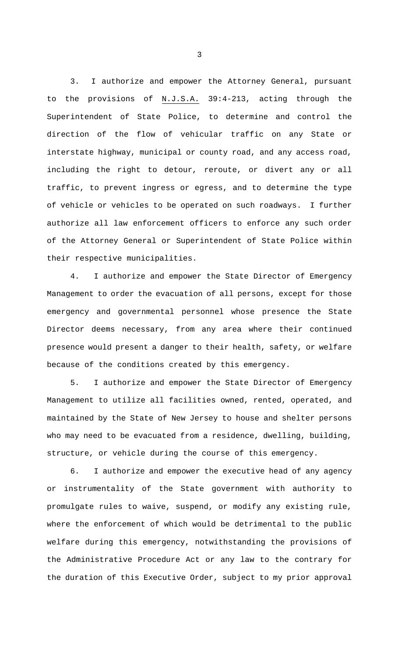3. I authorize and empower the Attorney General, pursuant to the provisions of N.J.S.A. 39:4-213, acting through the Superintendent of State Police, to determine and control the direction of the flow of vehicular traffic on any State or interstate highway, municipal or county road, and any access road, including the right to detour, reroute, or divert any or all traffic, to prevent ingress or egress, and to determine the type of vehicle or vehicles to be operated on such roadways. I further authorize all law enforcement officers to enforce any such order of the Attorney General or Superintendent of State Police within their respective municipalities.

4. I authorize and empower the State Director of Emergency Management to order the evacuation of all persons, except for those emergency and governmental personnel whose presence the State Director deems necessary, from any area where their continued presence would present a danger to their health, safety, or welfare because of the conditions created by this emergency.

5. I authorize and empower the State Director of Emergency Management to utilize all facilities owned, rented, operated, and maintained by the State of New Jersey to house and shelter persons who may need to be evacuated from a residence, dwelling, building, structure, or vehicle during the course of this emergency.

6. I authorize and empower the executive head of any agency or instrumentality of the State government with authority to promulgate rules to waive, suspend, or modify any existing rule, where the enforcement of which would be detrimental to the public welfare during this emergency, notwithstanding the provisions of the Administrative Procedure Act or any law to the contrary for the duration of this Executive Order, subject to my prior approval

3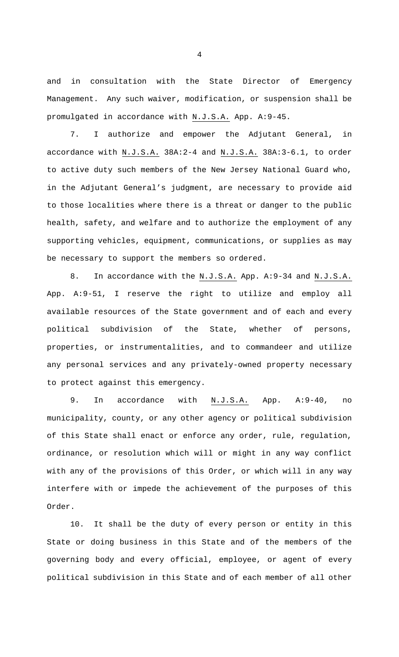and in consultation with the State Director of Emergency Management. Any such waiver, modification, or suspension shall be promulgated in accordance with N.J.S.A. App. A:9-45.

7. I authorize and empower the Adjutant General, in accordance with N.J.S.A. 38A:2-4 and N.J.S.A. 38A:3-6.1, to order to active duty such members of the New Jersey National Guard who, in the Adjutant General's judgment, are necessary to provide aid to those localities where there is a threat or danger to the public health, safety, and welfare and to authorize the employment of any supporting vehicles, equipment, communications, or supplies as may be necessary to support the members so ordered.

8. In accordance with the N.J.S.A. App. A:9-34 and N.J.S.A. App. A:9-51, I reserve the right to utilize and employ all available resources of the State government and of each and every political subdivision of the State, whether of persons, properties, or instrumentalities, and to commandeer and utilize any personal services and any privately-owned property necessary to protect against this emergency.

9. In accordance with N.J.S.A. App. A:9-40, no municipality, county, or any other agency or political subdivision of this State shall enact or enforce any order, rule, regulation, ordinance, or resolution which will or might in any way conflict with any of the provisions of this Order, or which will in any way interfere with or impede the achievement of the purposes of this Order.

10. It shall be the duty of every person or entity in this State or doing business in this State and of the members of the governing body and every official, employee, or agent of every political subdivision in this State and of each member of all other

4